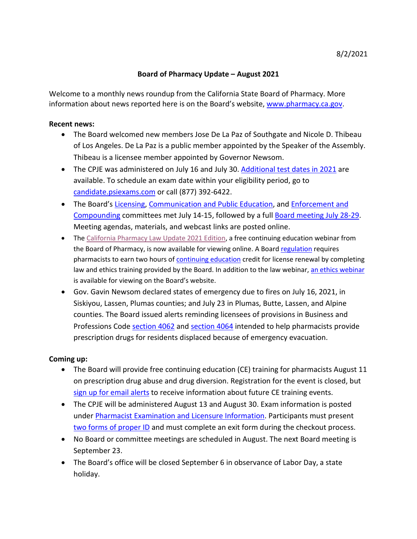## **Board of Pharmacy Update – August 2021**

information about news reported here is on the Board's website, [www.pharmacy.ca.gov.](http://www.pharmacy.ca.gov/) Welcome to a monthly news roundup from the California State Board of Pharmacy. More

## **Recent news:**

- • The Board welcomed new members Jose De La Paz of Southgate and Nicole D. Thibeau of Los Angeles. De La Paz is a public member appointed by the Speaker of the Assembly. Thibeau is a licensee member appointed by Governor Newsom.
- The CPJE was administered on July 16 and July 30. [Additional test dates in 2021](https://www.pharmacy.ca.gov/applicants/cpje_test_dates.shtml) are available. To schedule an exam date within your eligibility period, go to [candidate.psiexams.com](https://candidate.psiexams.com/) or call (877) 392-6422.
- [Compounding](https://www.pharmacy.ca.gov/about/meetings_enforcement.shtml) committees met July 14-15, followed by a ful[l Board meeting July 28-29.](https://www.pharmacy.ca.gov/about/meetings_full.shtml) • The Board's [Licensing,](https://www.pharmacy.ca.gov/about/meetings_licensing.shtml) [Communication and Public Education,](https://www.pharmacy.ca.gov/about/meetings_pub_ed.shtml) and [Enforcement and](https://www.pharmacy.ca.gov/about/meetings_enforcement.shtml) Meeting agendas, materials, and webcast links are posted online.
- The [California Pharmacy Law Update 2021 Edition,](https://www.pharmacy.ca.gov/licensees/webinars/law_2021/2021_law_webinar.html) a free continuing education webinar from the Board of Pharmacy, is now available for viewing online. A Boar[d regulation r](https://govt.westlaw.com/calregs/Document/I9D4BDECA07334A698303E63AF6050544?viewType=FullText&originationContext=documenttoc&transitionType=CategoryPageItem&contextData=(sc.Default))equires pharmacists to earn two hours of [continuing education](https://www.pharmacy.ca.gov/licensees/personal/ce.shtml) credit for license renewal by completing law and ethics training provided by the Board. In addition to the law webinar, [an ethics webinar](https://www.pharmacy.ca.gov/licensees/webinars/ethics/ethics.html) is available for viewing on the Board's website.
- • Gov. Gavin Newsom declared states of emergency due to fires on July 16, 2021, in Siskiyou, Lassen, Plumas counties; and July 23 in Plumas, Butte, Lassen, and Alpine Professions Code [section 4062](https://leginfo.legislature.ca.gov/faces/codes_displaySection.xhtml?sectionNum=4062&lawCode=BPC) and [section 4064](https://leginfo.legislature.ca.gov/faces/codes_displaySection.xhtml?sectionNum=4064.&lawCode=BPC) intended to help pharmacists provide counties. The Board issued alerts reminding licensees of provisions in Business and prescription drugs for residents displaced because of emergency evacuation.

## **Coming up:**

- • The Board will provide free continuing education (CE) training for pharmacists August 11 on prescription drug abuse and drug diversion. Registration for the event is closed, but [sign up for email alerts](https://www.dca.ca.gov/webapps/pharmacy/subscribe.php) to receive information about future CE training events.
- • The CPJE will be administered August 13 and August 30. Exam information is posted [two forms of proper ID](https://www.pharmacy.ca.gov/forms/exam_id_info.pdf) and must complete an exit form during the checkout process. under [Pharmacist Examination and Licensure Information.](https://www.pharmacy.ca.gov/applicants/rph.shtml) Participants must present
- No Board or committee meetings are scheduled in August. The next Board meeting is September 23.
- • The Board's office will be closed September 6 in observance of Labor Day, a state holiday.